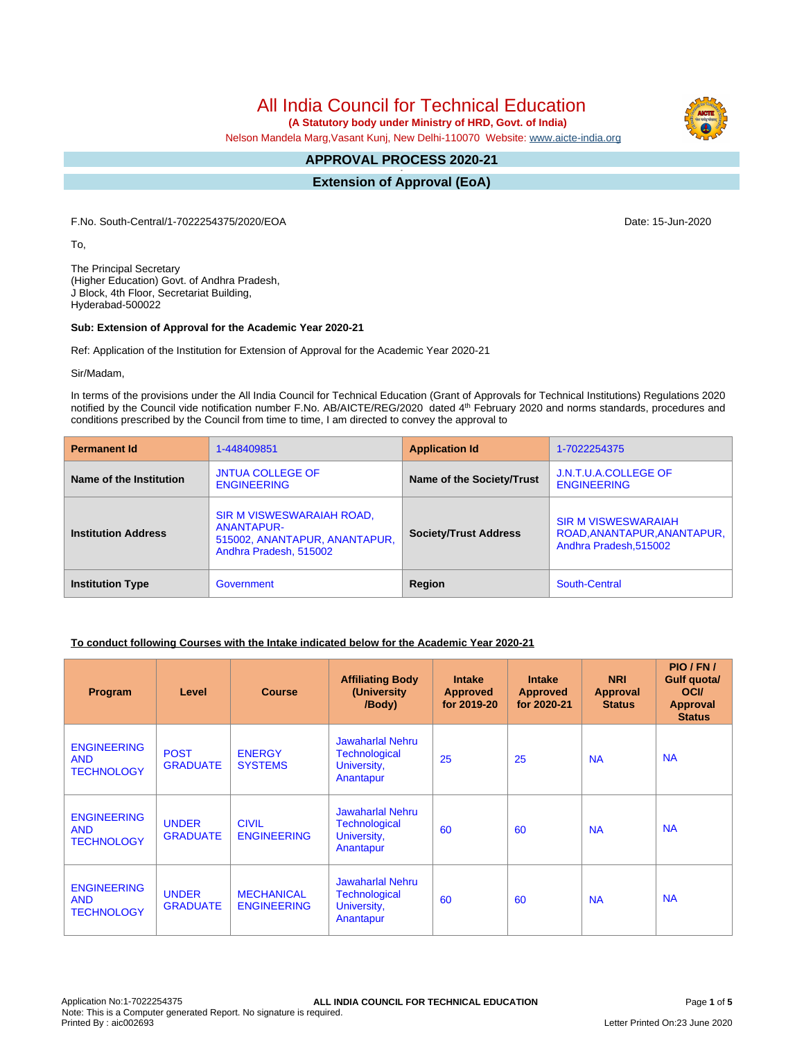All India Council for Technical Education

 **(A Statutory body under Ministry of HRD, Govt. of India)**

Nelson Mandela Marg,Vasant Kunj, New Delhi-110070 Website: [www.aicte-india.org](http://www.aicte-india.org)

#### **APPROVAL PROCESS 2020-21 -**

**Extension of Approval (EoA)**

F.No. South-Central/1-7022254375/2020/EOA Date: 15-Jun-2020

To,

The Principal Secretary (Higher Education) Govt. of Andhra Pradesh, J Block, 4th Floor, Secretariat Building, Hyderabad-500022

#### **Sub: Extension of Approval for the Academic Year 2020-21**

Ref: Application of the Institution for Extension of Approval for the Academic Year 2020-21

Sir/Madam,

In terms of the provisions under the All India Council for Technical Education (Grant of Approvals for Technical Institutions) Regulations 2020 notified by the Council vide notification number F.No. AB/AICTE/REG/2020 dated 4<sup>th</sup> February 2020 and norms standards, procedures and conditions prescribed by the Council from time to time, I am directed to convey the approval to

| <b>Permanent Id</b>        | 1-448409851                                                                                               | <b>Application Id</b>        | 1-7022254375                                                                        |  |
|----------------------------|-----------------------------------------------------------------------------------------------------------|------------------------------|-------------------------------------------------------------------------------------|--|
| Name of the Institution    | <b>JNTUA COLLEGE OF</b><br><b>ENGINEERING</b>                                                             | Name of the Society/Trust    | J.N.T.U.A.COLLEGE OF<br><b>ENGINEERING</b>                                          |  |
| <b>Institution Address</b> | SIR M VISWESWARAIAH ROAD,<br><b>ANANTAPUR-</b><br>515002, ANANTAPUR, ANANTAPUR,<br>Andhra Pradesh, 515002 | <b>Society/Trust Address</b> | <b>SIR M VISWESWARAIAH</b><br>ROAD, ANANTAPUR, ANANTAPUR,<br>Andhra Pradesh, 515002 |  |
| <b>Institution Type</b>    | Government                                                                                                | Region                       | South-Central                                                                       |  |

### **To conduct following Courses with the Intake indicated below for the Academic Year 2020-21**

| Program                                               | Level                           | <b>Course</b>                           | <b>Affiliating Body</b><br>(University<br>/Body)                            | <b>Intake</b><br><b>Approved</b><br>for 2019-20 | <b>Intake</b><br><b>Approved</b><br>for 2020-21 | <b>NRI</b><br>Approval<br><b>Status</b> | PIO/FN/<br>Gulf quota/<br><b>OCI</b><br><b>Approval</b><br><b>Status</b> |
|-------------------------------------------------------|---------------------------------|-----------------------------------------|-----------------------------------------------------------------------------|-------------------------------------------------|-------------------------------------------------|-----------------------------------------|--------------------------------------------------------------------------|
| <b>ENGINEERING</b><br><b>AND</b><br><b>TECHNOLOGY</b> | <b>POST</b><br><b>GRADUATE</b>  | <b>ENERGY</b><br><b>SYSTEMS</b>         | <b>Jawaharlal Nehru</b><br><b>Technological</b><br>University,<br>Anantapur | 25                                              | 25                                              | <b>NA</b>                               | <b>NA</b>                                                                |
| <b>ENGINEERING</b><br><b>AND</b><br><b>TECHNOLOGY</b> | <b>UNDER</b><br><b>GRADUATE</b> | <b>CIVIL</b><br><b>ENGINEERING</b>      | <b>Jawaharlal Nehru</b><br><b>Technological</b><br>University,<br>Anantapur | 60                                              | 60                                              | <b>NA</b>                               | <b>NA</b>                                                                |
| <b>ENGINEERING</b><br><b>AND</b><br><b>TECHNOLOGY</b> | <b>UNDER</b><br><b>GRADUATE</b> | <b>MECHANICAL</b><br><b>ENGINEERING</b> | <b>Jawaharlal Nehru</b><br><b>Technological</b><br>University,<br>Anantapur | 60                                              | 60                                              | <b>NA</b>                               | <b>NA</b>                                                                |

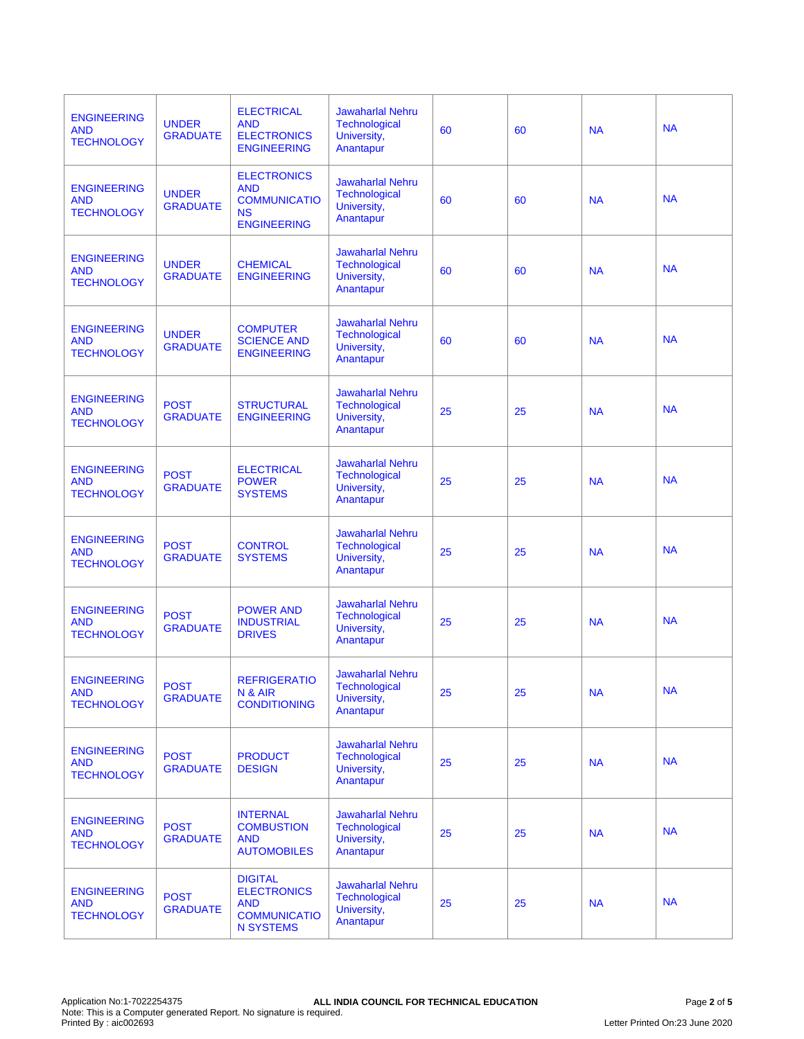| <b>ENGINEERING</b><br><b>AND</b><br><b>TECHNOLOGY</b> | <b>UNDER</b><br><b>GRADUATE</b> | <b>ELECTRICAL</b><br><b>AND</b><br><b>ELECTRONICS</b><br><b>ENGINEERING</b>                   | <b>Jawaharlal Nehru</b><br><b>Technological</b><br>University,<br>Anantapur | 60 | 60 | <b>NA</b> | <b>NA</b> |
|-------------------------------------------------------|---------------------------------|-----------------------------------------------------------------------------------------------|-----------------------------------------------------------------------------|----|----|-----------|-----------|
| <b>ENGINEERING</b><br><b>AND</b><br><b>TECHNOLOGY</b> | <b>UNDER</b><br><b>GRADUATE</b> | <b>ELECTRONICS</b><br><b>AND</b><br><b>COMMUNICATIO</b><br><b>NS</b><br><b>ENGINEERING</b>    | <b>Jawaharlal Nehru</b><br><b>Technological</b><br>University,<br>Anantapur | 60 | 60 | <b>NA</b> | <b>NA</b> |
| <b>ENGINEERING</b><br><b>AND</b><br><b>TECHNOLOGY</b> | <b>UNDER</b><br><b>GRADUATE</b> | <b>CHEMICAL</b><br><b>ENGINEERING</b>                                                         | <b>Jawaharlal Nehru</b><br><b>Technological</b><br>University,<br>Anantapur | 60 | 60 | <b>NA</b> | <b>NA</b> |
| <b>ENGINEERING</b><br><b>AND</b><br><b>TECHNOLOGY</b> | <b>UNDER</b><br><b>GRADUATE</b> | <b>COMPUTER</b><br><b>SCIENCE AND</b><br><b>ENGINEERING</b>                                   | <b>Jawaharlal Nehru</b><br>Technological<br>University,<br>Anantapur        | 60 | 60 | <b>NA</b> | <b>NA</b> |
| <b>ENGINEERING</b><br><b>AND</b><br><b>TECHNOLOGY</b> | <b>POST</b><br><b>GRADUATE</b>  | <b>STRUCTURAL</b><br><b>ENGINEERING</b>                                                       | <b>Jawaharlal Nehru</b><br><b>Technological</b><br>University,<br>Anantapur | 25 | 25 | <b>NA</b> | <b>NA</b> |
| <b>ENGINEERING</b><br><b>AND</b><br><b>TECHNOLOGY</b> | <b>POST</b><br><b>GRADUATE</b>  | <b>ELECTRICAL</b><br><b>POWER</b><br><b>SYSTEMS</b>                                           | <b>Jawaharlal Nehru</b><br>Technological<br>University,<br>Anantapur        | 25 | 25 | <b>NA</b> | <b>NA</b> |
| <b>ENGINEERING</b><br><b>AND</b><br><b>TECHNOLOGY</b> | <b>POST</b><br><b>GRADUATE</b>  | <b>CONTROL</b><br><b>SYSTEMS</b>                                                              | <b>Jawaharlal Nehru</b><br><b>Technological</b><br>University,<br>Anantapur | 25 | 25 | <b>NA</b> | <b>NA</b> |
| <b>ENGINEERING</b><br><b>AND</b><br><b>TECHNOLOGY</b> | <b>POST</b><br><b>GRADUATE</b>  | <b>POWER AND</b><br><b>INDUSTRIAL</b><br><b>DRIVES</b>                                        | <b>Jawaharlal Nehru</b><br><b>Technological</b><br>University,<br>Anantapur | 25 | 25 | <b>NA</b> | <b>NA</b> |
| <b>ENGINEERING</b><br><b>AND</b><br><b>TECHNOLOGY</b> | <b>POST</b><br><b>GRADUATE</b>  | <b>REFRIGERATIO</b><br>N & AIR<br><b>CONDITIONING</b>                                         | <b>Jawaharlal Nehru</b><br><b>Technological</b><br>University,<br>Anantapur | 25 | 25 | <b>NA</b> | <b>NA</b> |
| <b>ENGINEERING</b><br><b>AND</b><br><b>TECHNOLOGY</b> | <b>POST</b><br><b>GRADUATE</b>  | <b>PRODUCT</b><br><b>DESIGN</b>                                                               | <b>Jawaharlal Nehru</b><br><b>Technological</b><br>University,<br>Anantapur | 25 | 25 | <b>NA</b> | <b>NA</b> |
| <b>ENGINEERING</b><br><b>AND</b><br><b>TECHNOLOGY</b> | <b>POST</b><br><b>GRADUATE</b>  | <b>INTERNAL</b><br><b>COMBUSTION</b><br><b>AND</b><br><b>AUTOMOBILES</b>                      | <b>Jawaharlal Nehru</b><br><b>Technological</b><br>University,<br>Anantapur | 25 | 25 | <b>NA</b> | <b>NA</b> |
| <b>ENGINEERING</b><br><b>AND</b><br><b>TECHNOLOGY</b> | <b>POST</b><br><b>GRADUATE</b>  | <b>DIGITAL</b><br><b>ELECTRONICS</b><br><b>AND</b><br><b>COMMUNICATIO</b><br><b>N SYSTEMS</b> | <b>Jawaharlal Nehru</b><br><b>Technological</b><br>University,<br>Anantapur | 25 | 25 | <b>NA</b> | <b>NA</b> |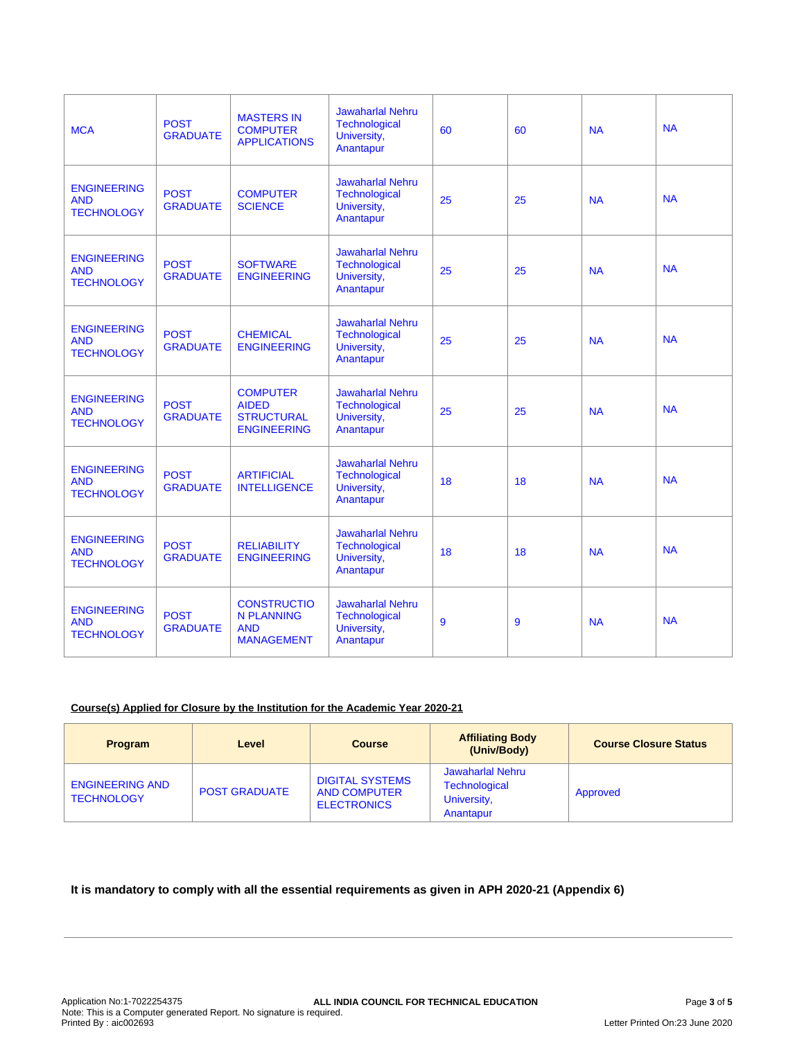| <b>MCA</b>                                            | <b>POST</b><br><b>GRADUATE</b> | <b>MASTERS IN</b><br><b>COMPUTER</b><br><b>APPLICATIONS</b>                | <b>Jawaharlal Nehru</b><br><b>Technological</b><br>University,<br>Anantapur | 60 | 60 | <b>NA</b> | <b>NA</b> |
|-------------------------------------------------------|--------------------------------|----------------------------------------------------------------------------|-----------------------------------------------------------------------------|----|----|-----------|-----------|
| <b>ENGINEERING</b><br><b>AND</b><br><b>TECHNOLOGY</b> | <b>POST</b><br><b>GRADUATE</b> | <b>COMPUTER</b><br><b>SCIENCE</b>                                          | <b>Jawaharlal Nehru</b><br><b>Technological</b><br>University,<br>Anantapur | 25 | 25 | <b>NA</b> | <b>NA</b> |
| <b>ENGINEERING</b><br><b>AND</b><br><b>TECHNOLOGY</b> | <b>POST</b><br><b>GRADUATE</b> | <b>SOFTWARE</b><br><b>ENGINEERING</b>                                      | <b>Jawaharlal Nehru</b><br>Technological<br>University,<br>Anantapur        | 25 | 25 | <b>NA</b> | <b>NA</b> |
| <b>ENGINEERING</b><br><b>AND</b><br><b>TECHNOLOGY</b> | <b>POST</b><br><b>GRADUATE</b> | <b>CHEMICAL</b><br><b>ENGINEERING</b>                                      | <b>Jawaharlal Nehru</b><br><b>Technological</b><br>University,<br>Anantapur | 25 | 25 | <b>NA</b> | <b>NA</b> |
| <b>ENGINEERING</b><br><b>AND</b><br><b>TECHNOLOGY</b> | <b>POST</b><br><b>GRADUATE</b> | <b>COMPUTER</b><br><b>AIDED</b><br><b>STRUCTURAL</b><br><b>ENGINEERING</b> | <b>Jawaharlal Nehru</b><br><b>Technological</b><br>University,<br>Anantapur | 25 | 25 | <b>NA</b> | <b>NA</b> |
| <b>ENGINEERING</b><br><b>AND</b><br><b>TECHNOLOGY</b> | <b>POST</b><br><b>GRADUATE</b> | <b>ARTIFICIAL</b><br><b>INTELLIGENCE</b>                                   | <b>Jawaharlal Nehru</b><br><b>Technological</b><br>University,<br>Anantapur | 18 | 18 | <b>NA</b> | <b>NA</b> |
| <b>ENGINEERING</b><br><b>AND</b><br><b>TECHNOLOGY</b> | <b>POST</b><br><b>GRADUATE</b> | <b>RELIABILITY</b><br><b>ENGINEERING</b>                                   | <b>Jawaharlal Nehru</b><br>Technological<br>University,<br>Anantapur        | 18 | 18 | <b>NA</b> | <b>NA</b> |
| <b>ENGINEERING</b><br><b>AND</b><br><b>TECHNOLOGY</b> | <b>POST</b><br><b>GRADUATE</b> | <b>CONSTRUCTIO</b><br><b>N PLANNING</b><br><b>AND</b><br><b>MANAGEMENT</b> | <b>Jawaharlal Nehru</b><br><b>Technological</b><br>University,<br>Anantapur | 9  | 9  | <b>NA</b> | <b>NA</b> |

## **Course(s) Applied for Closure by the Institution for the Academic Year 2020-21**

| Program                                     | Level                | <b>Course</b>                                                       | <b>Affiliating Body</b><br>(Univ/Body)                               | <b>Course Closure Status</b> |
|---------------------------------------------|----------------------|---------------------------------------------------------------------|----------------------------------------------------------------------|------------------------------|
| <b>ENGINEERING AND</b><br><b>TECHNOLOGY</b> | <b>POST GRADUATE</b> | <b>DIGITAL SYSTEMS</b><br><b>AND COMPUTER</b><br><b>ELECTRONICS</b> | Jawaharlal Nehru<br><b>Technological</b><br>University,<br>Anantapur | Approved                     |

# **It is mandatory to comply with all the essential requirements as given in APH 2020-21 (Appendix 6)**